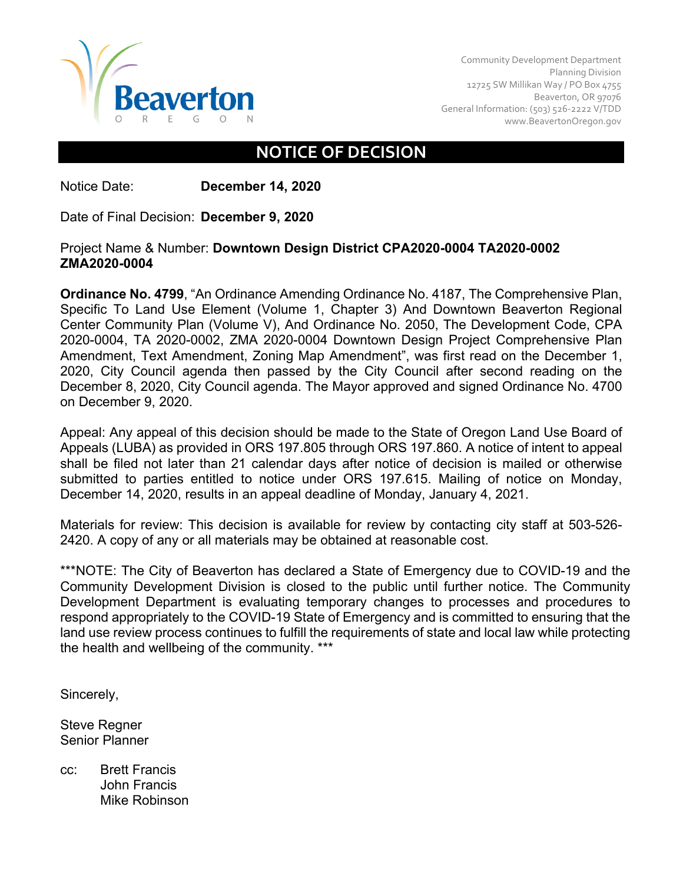

Community Development Department Planning Division 12725 SW Millikan Way / PO Box 4755 Beaverton, OR 97076 General Information: (503) 526-2222 V/TDD [www.BeavertonOregon.gov](http://www.beavertonoregon.gov/)

## **NOTICE OF DECISION**

Notice Date: **December 14, 2020**

Date of Final Decision: **December 9, 2020**

## Project Name & Number: **Downtown Design District CPA2020-0004 TA2020-0002 ZMA2020-0004**

**Ordinance No. 4799**, "An Ordinance Amending Ordinance No. 4187, The Comprehensive Plan, Specific To Land Use Element (Volume 1, Chapter 3) And Downtown Beaverton Regional Center Community Plan (Volume V), And Ordinance No. 2050, The Development Code, CPA 2020-0004, TA 2020-0002, ZMA 2020-0004 Downtown Design Project Comprehensive Plan Amendment, Text Amendment, Zoning Map Amendment", was first read on the December 1, 2020, City Council agenda then passed by the City Council after second reading on the December 8, 2020, City Council agenda. The Mayor approved and signed Ordinance No. 4700 on December 9, 2020.

Appeal: Any appeal of this decision should be made to the State of Oregon Land Use Board of Appeals (LUBA) as provided in ORS 197.805 through ORS 197.860. A notice of intent to appeal shall be filed not later than 21 calendar days after notice of decision is mailed or otherwise submitted to parties entitled to notice under ORS 197.615. Mailing of notice on Monday, December 14, 2020, results in an appeal deadline of Monday, January 4, 2021.

Materials for review: This decision is available for review by contacting city staff at 503-526- 2420. A copy of any or all materials may be obtained at reasonable cost.

\*\*\*NOTE: The City of Beaverton has declared a State of Emergency due to COVID-19 and the Community Development Division is closed to the public until further notice. The Community Development Department is evaluating temporary changes to processes and procedures to respond appropriately to the COVID-19 State of Emergency and is committed to ensuring that the land use review process continues to fulfill the requirements of state and local law while protecting the health and wellbeing of the community. \*\*\*

Sincerely,

Steve Regner Senior Planner

cc: Brett Francis John Francis Mike Robinson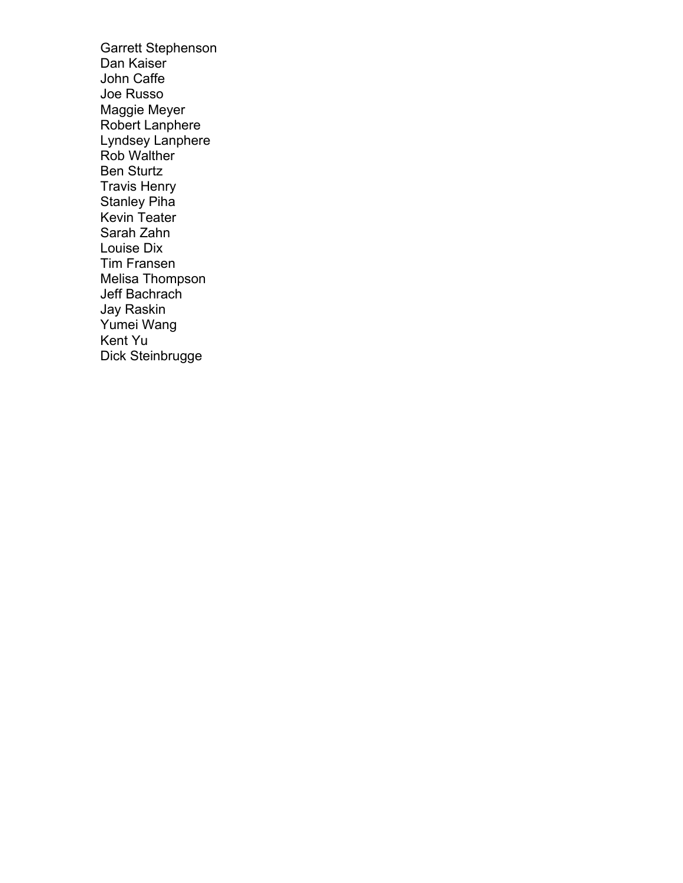Garrett Stephenson Dan Kaiser John Caffe Joe Russo Maggie Meyer Robert Lanphere Lyndsey Lanphere Rob Walther Ben Sturtz Travis Henry Stanley Piha Kevin Teater Sarah Zahn Louise Dix Tim Fransen Melisa Thompson Jeff Bachrach Jay Raskin Yumei Wang Kent Yu Dick Steinbrugge